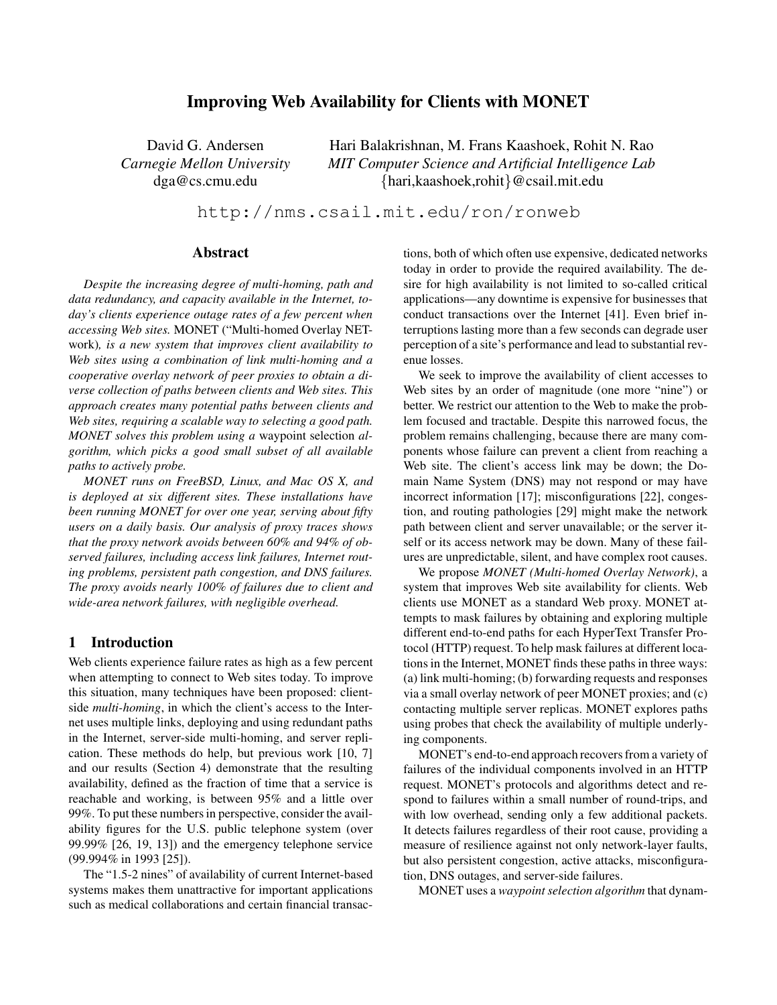# **Improving Web Availability for Clients with MONET**

David G. Andersen *Carnegie Mellon University* dga@cs.cmu.edu

Hari Balakrishnan, M. Frans Kaashoek, Rohit N. Rao *MIT Computer Science and Artificial Intelligence Lab* {hari,kaashoek,rohit}@csail.mit.edu

http://nms.csail.mit.edu/ron/ronweb

# **Abstract**

*Despite the increasing degree of multi-homing, path and data redundancy, and capacity available in the Internet, today's clients experience outage rates of a few percent when accessing Web sites.* MONET ("Multi-homed Overlay NETwork)*, is a new system that improves client availability to Web sites using a combination of link multi-homing and a cooperative overlay network of peer proxies to obtain a diverse collection of paths between clients and Web sites. This approach creates many potential paths between clients and Web sites, requiring a scalable way to selecting a good path. MONET solves this problem using a* waypoint selection *algorithm, which picks a good small subset of all available paths to actively probe.*

*MONET runs on FreeBSD, Linux, and Mac OS X, and is deployed at six different sites. These installations have been running MONET for over one year, serving about fifty users on a daily basis. Our analysis of proxy traces shows that the proxy network avoids between 60% and 94% of observed failures, including access link failures, Internet routing problems, persistent path congestion, and DNS failures. The proxy avoids nearly 100% of failures due to client and wide-area network failures, with negligible overhead.*

## **1 Introduction**

Web clients experience failure rates as high as a few percent when attempting to connect to Web sites today. To improve this situation, many techniques have been proposed: clientside *multi-homing*, in which the client's access to the Internet uses multiple links, deploying and using redundant paths in the Internet, server-side multi-homing, and server replication. These methods do help, but previous work [10, 7] and our results (Section 4) demonstrate that the resulting availability, defined as the fraction of time that a service is reachable and working, is between 95% and a little over 99%. To put these numbers in perspective, consider the availability figures for the U.S. public telephone system (over 99.99% [26, 19, 13]) and the emergency telephone service (99.994% in 1993 [25]).

The "1.5-2 nines" of availability of current Internet-based systems makes them unattractive for important applications such as medical collaborations and certain financial transactions, both of which often use expensive, dedicated networks today in order to provide the required availability. The desire for high availability is not limited to so-called critical applications—any downtime is expensive for businesses that conduct transactions over the Internet [41]. Even brief interruptions lasting more than a few seconds can degrade user perception of a site's performance and lead to substantial revenue losses.

We seek to improve the availability of client accesses to Web sites by an order of magnitude (one more "nine") or better. We restrict our attention to the Web to make the problem focused and tractable. Despite this narrowed focus, the problem remains challenging, because there are many components whose failure can prevent a client from reaching a Web site. The client's access link may be down; the Domain Name System (DNS) may not respond or may have incorrect information [17]; misconfigurations [22], congestion, and routing pathologies [29] might make the network path between client and server unavailable; or the server itself or its access network may be down. Many of these failures are unpredictable, silent, and have complex root causes.

We propose *MONET (Multi-homed Overlay Network)*, a system that improves Web site availability for clients. Web clients use MONET as a standard Web proxy. MONET attempts to mask failures by obtaining and exploring multiple different end-to-end paths for each HyperText Transfer Protocol (HTTP) request. To help mask failures at different locations in the Internet, MONET finds these paths in three ways: (a) link multi-homing; (b) forwarding requests and responses via a small overlay network of peer MONET proxies; and (c) contacting multiple server replicas. MONET explores paths using probes that check the availability of multiple underlying components.

MONET's end-to-end approach recovers from a variety of failures of the individual components involved in an HTTP request. MONET's protocols and algorithms detect and respond to failures within a small number of round-trips, and with low overhead, sending only a few additional packets. It detects failures regardless of their root cause, providing a measure of resilience against not only network-layer faults, but also persistent congestion, active attacks, misconfiguration, DNS outages, and server-side failures.

MONET uses a *waypoint selection algorithm* that dynam-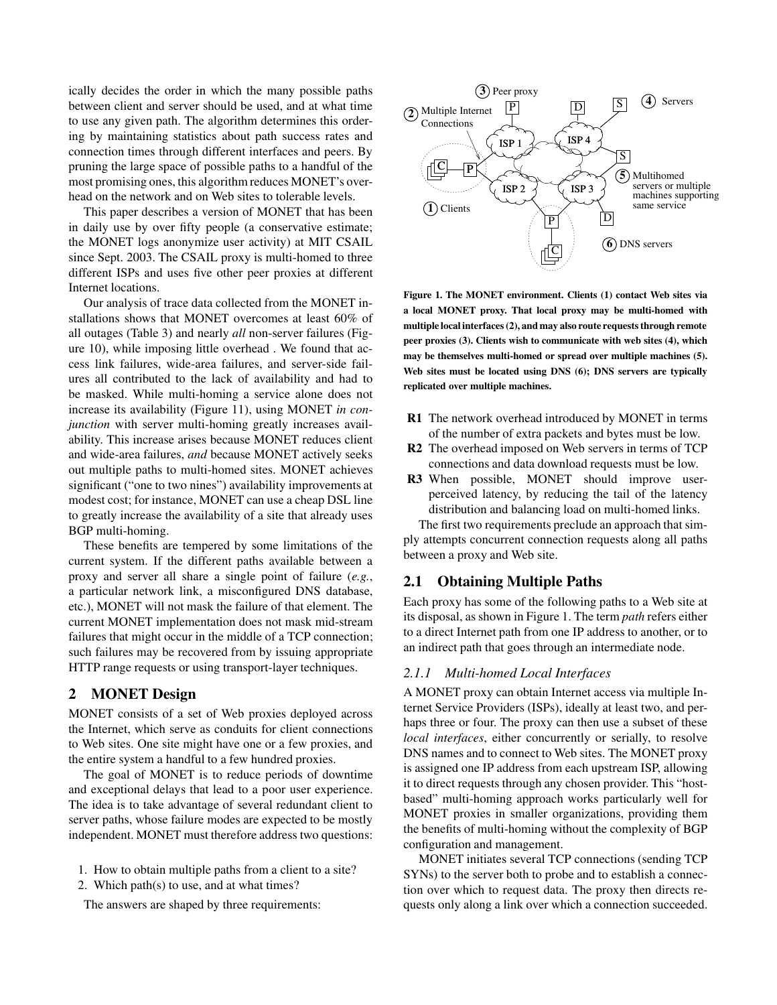ically decides the order in which the many possible paths between client and server should be used, and at what time to use any given path. The algorithm determines this ordering by maintaining statistics about path success rates and connection times through different interfaces and peers. By pruning the large space of possible paths to a handful of the most promising ones, this algorithm reduces MONET's overhead on the network and on Web sites to tolerable levels.

This paper describes a version of MONET that has been in daily use by over fifty people (a conservative estimate; the MONET logs anonymize user activity) at MIT CSAIL since Sept. 2003. The CSAIL proxy is multi-homed to three different ISPs and uses five other peer proxies at different Internet locations.

Our analysis of trace data collected from the MONET installations shows that MONET overcomes at least 60% of all outages (Table 3) and nearly *all* non-server failures (Figure 10), while imposing little overhead . We found that access link failures, wide-area failures, and server-side failures all contributed to the lack of availability and had to be masked. While multi-homing a service alone does not increase its availability (Figure 11), using MONET *in conjunction* with server multi-homing greatly increases availability. This increase arises because MONET reduces client and wide-area failures, *and* because MONET actively seeks out multiple paths to multi-homed sites. MONET achieves significant ("one to two nines") availability improvements at modest cost; for instance, MONET can use a cheap DSL line to greatly increase the availability of a site that already uses BGP multi-homing.

These benefits are tempered by some limitations of the current system. If the different paths available between a proxy and server all share a single point of failure (*e.g.*, a particular network link, a misconfigured DNS database, etc.), MONET will not mask the failure of that element. The current MONET implementation does not mask mid-stream failures that might occur in the middle of a TCP connection; such failures may be recovered from by issuing appropriate HTTP range requests or using transport-layer techniques.

# **2 MONET Design**

MONET consists of a set of Web proxies deployed across the Internet, which serve as conduits for client connections to Web sites. One site might have one or a few proxies, and the entire system a handful to a few hundred proxies.

The goal of MONET is to reduce periods of downtime and exceptional delays that lead to a poor user experience. The idea is to take advantage of several redundant client to server paths, whose failure modes are expected to be mostly independent. MONET must therefore address two questions:

- 1. How to obtain multiple paths from a client to a site?
- 2. Which path(s) to use, and at what times?

The answers are shaped by three requirements:



**Figure 1. The MONET environment. Clients (1) contact Web sites via a local MONET proxy. That local proxy may be multi-homed with multiple local interfaces(2), and may also route requeststhrough remote peer proxies (3). Clients wish to communicate with web sites (4), which may be themselves multi-homed or spread over multiple machines (5). Web sites must be located using DNS (6); DNS servers are typically replicated over multiple machines.**

- **R1** The network overhead introduced by MONET in terms of the number of extra packets and bytes must be low.
- **R2** The overhead imposed on Web servers in terms of TCP connections and data download requests must be low.
- **R3** When possible, MONET should improve userperceived latency, by reducing the tail of the latency distribution and balancing load on multi-homed links.

The first two requirements preclude an approach that simply attempts concurrent connection requests along all paths between a proxy and Web site.

## **2.1 Obtaining Multiple Paths**

Each proxy has some of the following paths to a Web site at its disposal, as shown in Figure 1. The term *path* refers either to a direct Internet path from one IP address to another, or to an indirect path that goes through an intermediate node.

### *2.1.1 Multi-homed Local Interfaces*

A MONET proxy can obtain Internet access via multiple Internet Service Providers (ISPs), ideally at least two, and perhaps three or four. The proxy can then use a subset of these *local interfaces*, either concurrently or serially, to resolve DNS names and to connect to Web sites. The MONET proxy is assigned one IP address from each upstream ISP, allowing it to direct requests through any chosen provider. This "hostbased" multi-homing approach works particularly well for MONET proxies in smaller organizations, providing them the benefits of multi-homing without the complexity of BGP configuration and management.

MONET initiates several TCP connections (sending TCP SYNs) to the server both to probe and to establish a connection over which to request data. The proxy then directs requests only along a link over which a connection succeeded.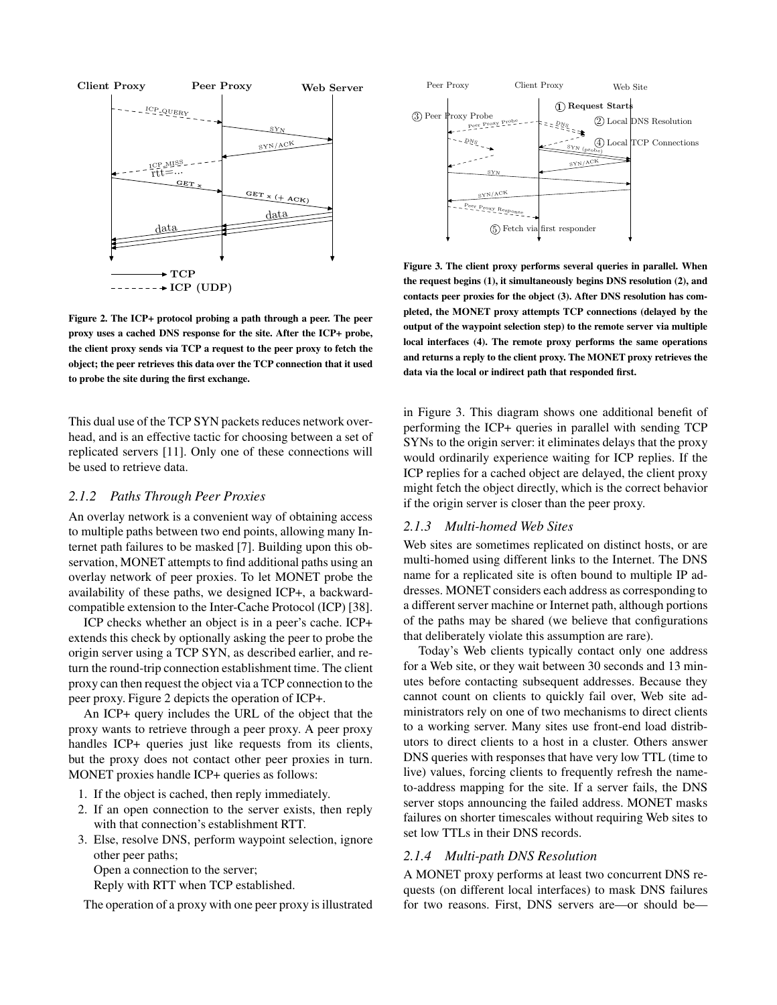

**Figure 2. The ICP+ protocol probing a path through a peer. The peer proxy uses a cached DNS response for the site. After the ICP+ probe, the client proxy sends via TCP a request to the peer proxy to fetch the object; the peer retrieves this data over the TCP connection that it used to probe the site during the first exchange.**

This dual use of the TCP SYN packets reduces network overhead, and is an effective tactic for choosing between a set of replicated servers [11]. Only one of these connections will be used to retrieve data.

### *2.1.2 Paths Through Peer Proxies*

An overlay network is a convenient way of obtaining access to multiple paths between two end points, allowing many Internet path failures to be masked [7]. Building upon this observation, MONET attempts to find additional paths using an overlay network of peer proxies. To let MONET probe the availability of these paths, we designed ICP+, a backwardcompatible extension to the Inter-Cache Protocol (ICP) [38].

ICP checks whether an object is in a peer's cache. ICP+ extends this check by optionally asking the peer to probe the origin server using a TCP SYN, as described earlier, and return the round-trip connection establishment time. The client proxy can then request the object via a TCP connection to the peer proxy. Figure 2 depicts the operation of ICP+.

An ICP+ query includes the URL of the object that the proxy wants to retrieve through a peer proxy. A peer proxy handles ICP+ queries just like requests from its clients, but the proxy does not contact other peer proxies in turn. MONET proxies handle ICP+ queries as follows:

- 1. If the object is cached, then reply immediately.
- 2. If an open connection to the server exists, then reply with that connection's establishment RTT.
- 3. Else, resolve DNS, perform waypoint selection, ignore other peer paths;

Open a connection to the server;

Reply with RTT when TCP established.

The operation of a proxy with one peer proxy is illustrated



**Figure 3. The client proxy performs several queries in parallel. When the request begins (1), it simultaneously begins DNS resolution (2), and contacts peer proxies for the object (3). After DNS resolution has completed, the MONET proxy attempts TCP connections (delayed by the output of the waypoint selection step) to the remote server via multiple local interfaces (4). The remote proxy performs the same operations and returns a reply to the client proxy. The MONET proxy retrieves the data via the local or indirect path that responded first.**

in Figure 3. This diagram shows one additional benefit of performing the ICP+ queries in parallel with sending TCP SYNs to the origin server: it eliminates delays that the proxy would ordinarily experience waiting for ICP replies. If the ICP replies for a cached object are delayed, the client proxy might fetch the object directly, which is the correct behavior if the origin server is closer than the peer proxy.

### *2.1.3 Multi-homed Web Sites*

Web sites are sometimes replicated on distinct hosts, or are multi-homed using different links to the Internet. The DNS name for a replicated site is often bound to multiple IP addresses. MONET considers each address as corresponding to a different server machine or Internet path, although portions of the paths may be shared (we believe that configurations that deliberately violate this assumption are rare).

Today's Web clients typically contact only one address for a Web site, or they wait between 30 seconds and 13 minutes before contacting subsequent addresses. Because they cannot count on clients to quickly fail over, Web site administrators rely on one of two mechanisms to direct clients to a working server. Many sites use front-end load distributors to direct clients to a host in a cluster. Others answer DNS queries with responses that have very low TTL (time to live) values, forcing clients to frequently refresh the nameto-address mapping for the site. If a server fails, the DNS server stops announcing the failed address. MONET masks failures on shorter timescales without requiring Web sites to set low TTLs in their DNS records.

#### *2.1.4 Multi-path DNS Resolution*

A MONET proxy performs at least two concurrent DNS requests (on different local interfaces) to mask DNS failures for two reasons. First, DNS servers are—or should be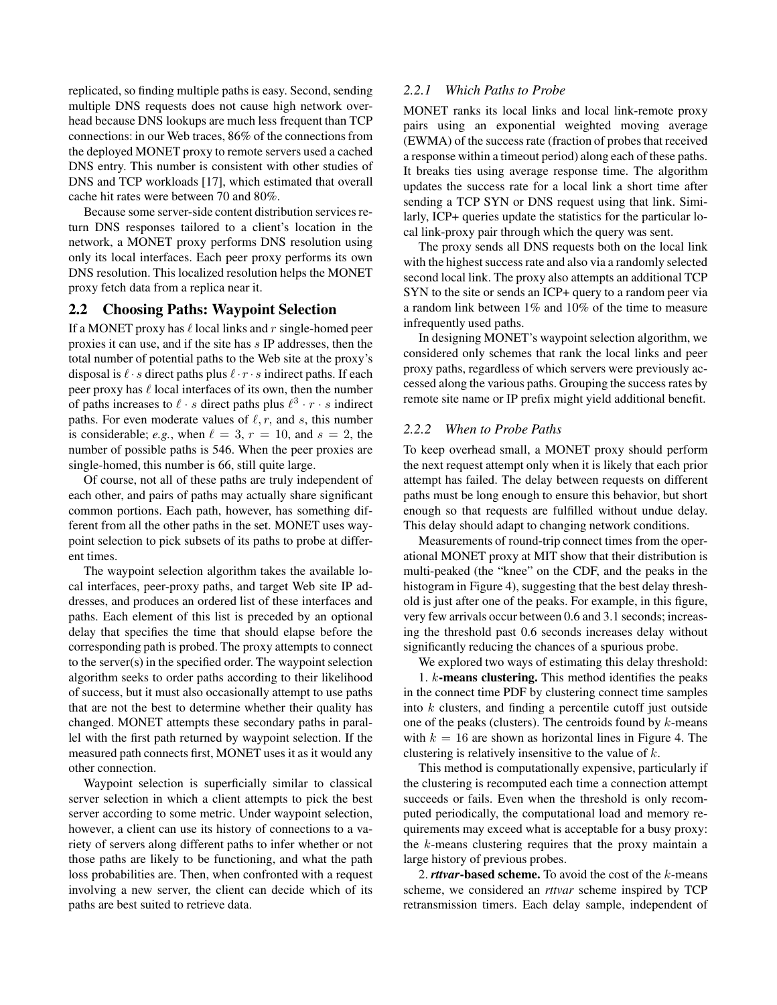replicated, so finding multiple paths is easy. Second, sending multiple DNS requests does not cause high network overhead because DNS lookups are much less frequent than TCP connections: in our Web traces, 86% of the connections from the deployed MONET proxy to remote servers used a cached DNS entry. This number is consistent with other studies of DNS and TCP workloads [17], which estimated that overall cache hit rates were between 70 and 80%.

Because some server-side content distribution services return DNS responses tailored to a client's location in the network, a MONET proxy performs DNS resolution using only its local interfaces. Each peer proxy performs its own DNS resolution. This localized resolution helps the MONET proxy fetch data from a replica near it.

## **2.2 Choosing Paths: Waypoint Selection**

If a MONET proxy has  $\ell$  local links and r single-homed peer proxies it can use, and if the site has s IP addresses, then the total number of potential paths to the Web site at the proxy's disposal is  $\ell \cdot s$  direct paths plus  $\ell \cdot r \cdot s$  indirect paths. If each peer proxy has  $\ell$  local interfaces of its own, then the number of paths increases to  $\ell \cdot s$  direct paths plus  $\ell^3 \cdot r \cdot s$  indirect paths. For even moderate values of  $\ell, r$ , and s, this number is considerable; *e.g.*, when  $\ell = 3$ ,  $r = 10$ , and  $s = 2$ , the number of possible paths is 546. When the peer proxies are single-homed, this number is 66, still quite large.

Of course, not all of these paths are truly independent of each other, and pairs of paths may actually share significant common portions. Each path, however, has something different from all the other paths in the set. MONET uses waypoint selection to pick subsets of its paths to probe at different times.

The waypoint selection algorithm takes the available local interfaces, peer-proxy paths, and target Web site IP addresses, and produces an ordered list of these interfaces and paths. Each element of this list is preceded by an optional delay that specifies the time that should elapse before the corresponding path is probed. The proxy attempts to connect to the server(s) in the specified order. The waypoint selection algorithm seeks to order paths according to their likelihood of success, but it must also occasionally attempt to use paths that are not the best to determine whether their quality has changed. MONET attempts these secondary paths in parallel with the first path returned by waypoint selection. If the measured path connects first, MONET uses it as it would any other connection.

Waypoint selection is superficially similar to classical server selection in which a client attempts to pick the best server according to some metric. Under waypoint selection, however, a client can use its history of connections to a variety of servers along different paths to infer whether or not those paths are likely to be functioning, and what the path loss probabilities are. Then, when confronted with a request involving a new server, the client can decide which of its paths are best suited to retrieve data.

# *2.2.1 Which Paths to Probe*

MONET ranks its local links and local link-remote proxy pairs using an exponential weighted moving average (EWMA) of the success rate (fraction of probes that received a response within a timeout period) along each of these paths. It breaks ties using average response time. The algorithm updates the success rate for a local link a short time after sending a TCP SYN or DNS request using that link. Similarly, ICP+ queries update the statistics for the particular local link-proxy pair through which the query was sent.

The proxy sends all DNS requests both on the local link with the highest success rate and also via a randomly selected second local link. The proxy also attempts an additional TCP SYN to the site or sends an ICP+ query to a random peer via a random link between 1% and 10% of the time to measure infrequently used paths.

In designing MONET's waypoint selection algorithm, we considered only schemes that rank the local links and peer proxy paths, regardless of which servers were previously accessed along the various paths. Grouping the success rates by remote site name or IP prefix might yield additional benefit.

# *2.2.2 When to Probe Paths*

To keep overhead small, a MONET proxy should perform the next request attempt only when it is likely that each prior attempt has failed. The delay between requests on different paths must be long enough to ensure this behavior, but short enough so that requests are fulfilled without undue delay. This delay should adapt to changing network conditions.

Measurements of round-trip connect times from the operational MONET proxy at MIT show that their distribution is multi-peaked (the "knee" on the CDF, and the peaks in the histogram in Figure 4), suggesting that the best delay threshold is just after one of the peaks. For example, in this figure, very few arrivals occur between 0.6 and 3.1 seconds; increasing the threshold past 0.6 seconds increases delay without significantly reducing the chances of a spurious probe.

We explored two ways of estimating this delay threshold:

1. k**-means clustering.** This method identifies the peaks in the connect time PDF by clustering connect time samples into  $k$  clusters, and finding a percentile cutoff just outside one of the peaks (clusters). The centroids found by  $k$ -means with  $k = 16$  are shown as horizontal lines in Figure 4. The clustering is relatively insensitive to the value of k.

This method is computationally expensive, particularly if the clustering is recomputed each time a connection attempt succeeds or fails. Even when the threshold is only recomputed periodically, the computational load and memory requirements may exceed what is acceptable for a busy proxy: the  $k$ -means clustering requires that the proxy maintain a large history of previous probes.

2. *rttvar***-based scheme.** To avoid the cost of the k-means scheme, we considered an *rttvar* scheme inspired by TCP retransmission timers. Each delay sample, independent of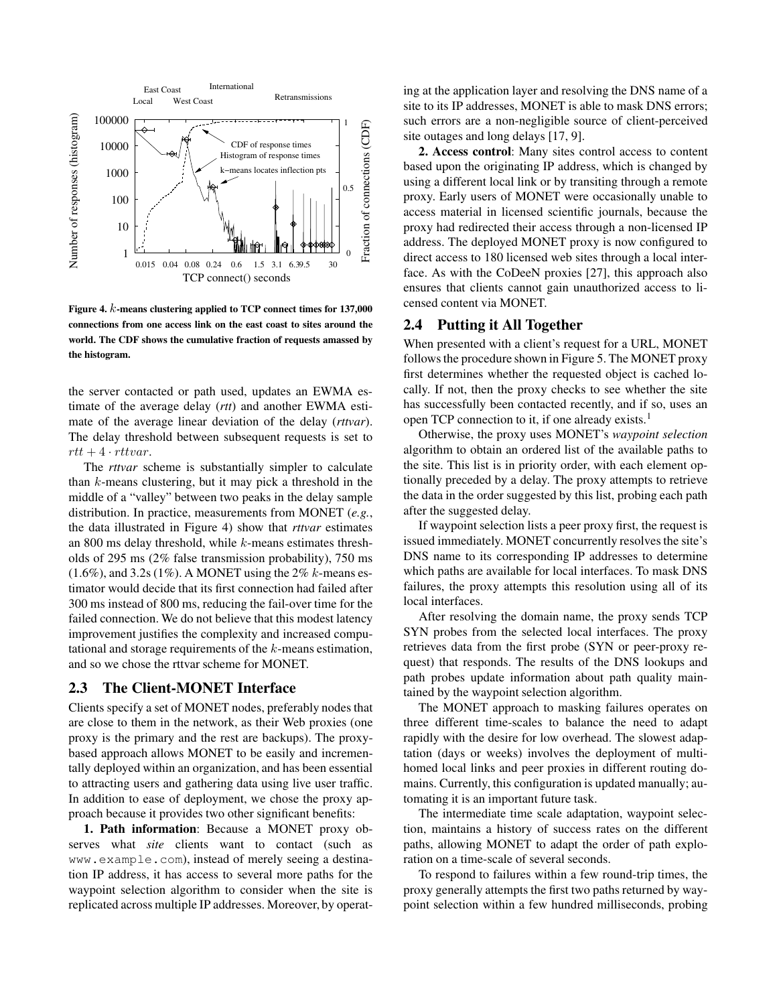

**Figure 4.** k**-means clustering applied to TCP connect times for 137,000 connections from one access link on the east coast to sites around the world. The CDF shows the cumulative fraction of requests amassed by the histogram.**

the server contacted or path used, updates an EWMA estimate of the average delay (*rtt*) and another EWMA estimate of the average linear deviation of the delay (*rttvar*). The delay threshold between subsequent requests is set to  $rtt + 4 \cdot rtv$ ar.

The *rttvar* scheme is substantially simpler to calculate than  $k$ -means clustering, but it may pick a threshold in the middle of a "valley" between two peaks in the delay sample distribution. In practice, measurements from MONET (*e.g.*, the data illustrated in Figure 4) show that *rttvar* estimates an 800 ms delay threshold, while k-means estimates thresholds of 295 ms (2% false transmission probability), 750 ms  $(1.6\%)$ , and 3.2s (1%). A MONET using the 2% k-means estimator would decide that its first connection had failed after 300 ms instead of 800 ms, reducing the fail-over time for the failed connection. We do not believe that this modest latency improvement justifies the complexity and increased computational and storage requirements of the k-means estimation, and so we chose the rttvar scheme for MONET.

# **2.3 The Client-MONET Interface**

Clients specify a set of MONET nodes, preferably nodes that are close to them in the network, as their Web proxies (one proxy is the primary and the rest are backups). The proxybased approach allows MONET to be easily and incrementally deployed within an organization, and has been essential to attracting users and gathering data using live user traffic. In addition to ease of deployment, we chose the proxy approach because it provides two other significant benefits:

**1. Path information**: Because a MONET proxy observes what *site* clients want to contact (such as www.example.com), instead of merely seeing a destination IP address, it has access to several more paths for the waypoint selection algorithm to consider when the site is replicated across multiple IP addresses. Moreover, by operating at the application layer and resolving the DNS name of a site to its IP addresses, MONET is able to mask DNS errors; such errors are a non-negligible source of client-perceived site outages and long delays [17, 9].

**2. Access control**: Many sites control access to content based upon the originating IP address, which is changed by using a different local link or by transiting through a remote proxy. Early users of MONET were occasionally unable to access material in licensed scientific journals, because the proxy had redirected their access through a non-licensed IP address. The deployed MONET proxy is now configured to direct access to 180 licensed web sites through a local interface. As with the CoDeeN proxies [27], this approach also ensures that clients cannot gain unauthorized access to licensed content via MONET.

# **2.4 Putting it All Together**

When presented with a client's request for a URL, MONET followsthe procedure shown in Figure 5. The MONET proxy first determines whether the requested object is cached locally. If not, then the proxy checks to see whether the site has successfully been contacted recently, and if so, uses an open TCP connection to it, if one already exists.<sup>1</sup>

Otherwise, the proxy uses MONET's *waypoint selection* algorithm to obtain an ordered list of the available paths to the site. This list is in priority order, with each element optionally preceded by a delay. The proxy attempts to retrieve the data in the order suggested by this list, probing each path after the suggested delay.

If waypoint selection lists a peer proxy first, the request is issued immediately. MONET concurrently resolves the site's DNS name to its corresponding IP addresses to determine which paths are available for local interfaces. To mask DNS failures, the proxy attempts this resolution using all of its local interfaces.

After resolving the domain name, the proxy sends TCP SYN probes from the selected local interfaces. The proxy retrieves data from the first probe (SYN or peer-proxy request) that responds. The results of the DNS lookups and path probes update information about path quality maintained by the waypoint selection algorithm.

The MONET approach to masking failures operates on three different time-scales to balance the need to adapt rapidly with the desire for low overhead. The slowest adaptation (days or weeks) involves the deployment of multihomed local links and peer proxies in different routing domains. Currently, this configuration is updated manually; automating it is an important future task.

The intermediate time scale adaptation, waypoint selection, maintains a history of success rates on the different paths, allowing MONET to adapt the order of path exploration on a time-scale of several seconds.

To respond to failures within a few round-trip times, the proxy generally attempts the first two paths returned by waypoint selection within a few hundred milliseconds, probing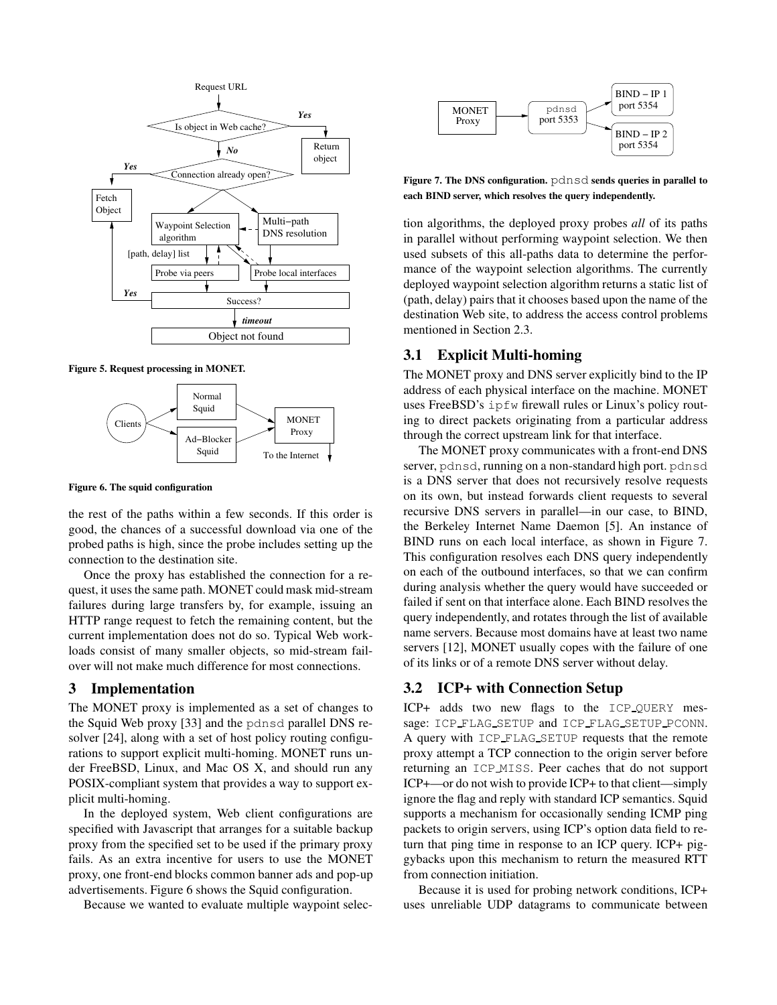

**Figure 5. Request processing in MONET.**



**Figure 6. The squid configuration**

the rest of the paths within a few seconds. If this order is good, the chances of a successful download via one of the probed paths is high, since the probe includes setting up the connection to the destination site.

Once the proxy has established the connection for a request, it uses the same path. MONET could mask mid-stream failures during large transfers by, for example, issuing an HTTP range request to fetch the remaining content, but the current implementation does not do so. Typical Web workloads consist of many smaller objects, so mid-stream failover will not make much difference for most connections.

# **3 Implementation**

The MONET proxy is implemented as a set of changes to the Squid Web proxy [33] and the pdnsd parallel DNS resolver [24], along with a set of host policy routing configurations to support explicit multi-homing. MONET runs under FreeBSD, Linux, and Mac OS X, and should run any POSIX-compliant system that provides a way to support explicit multi-homing.

In the deployed system, Web client configurations are specified with Javascript that arranges for a suitable backup proxy from the specified set to be used if the primary proxy fails. As an extra incentive for users to use the MONET proxy, one front-end blocks common banner ads and pop-up advertisements. Figure 6 shows the Squid configuration.

Because we wanted to evaluate multiple waypoint selec-



**Figure 7. The DNS configuration.** pdnsd **sends queries in parallel to each BIND server, which resolves the query independently.**

tion algorithms, the deployed proxy probes *all* of its paths in parallel without performing waypoint selection. We then used subsets of this all-paths data to determine the performance of the waypoint selection algorithms. The currently deployed waypoint selection algorithm returns a static list of (path, delay) pairs that it chooses based upon the name of the destination Web site, to address the access control problems mentioned in Section 2.3.

# **3.1 Explicit Multi-homing**

The MONET proxy and DNS server explicitly bind to the IP address of each physical interface on the machine. MONET uses FreeBSD's ipfw firewall rules or Linux's policy routing to direct packets originating from a particular address through the correct upstream link for that interface.

The MONET proxy communicates with a front-end DNS server, pdnsd, running on a non-standard high port. pdnsd is a DNS server that does not recursively resolve requests on its own, but instead forwards client requests to several recursive DNS servers in parallel—in our case, to BIND, the Berkeley Internet Name Daemon [5]. An instance of BIND runs on each local interface, as shown in Figure 7. This configuration resolves each DNS query independently on each of the outbound interfaces, so that we can confirm during analysis whether the query would have succeeded or failed if sent on that interface alone. Each BIND resolves the query independently, and rotates through the list of available name servers. Because most domains have at least two name servers [12], MONET usually copes with the failure of one of its links or of a remote DNS server without delay.

## **3.2 ICP+ with Connection Setup**

ICP+ adds two new flags to the ICP QUERY message: ICP FLAG SETUP and ICP FLAG SETUP PCONN. A query with ICP FLAG SETUP requests that the remote proxy attempt a TCP connection to the origin server before returning an ICP MISS. Peer caches that do not support ICP+—or do not wish to provide ICP+ to that client—simply ignore the flag and reply with standard ICP semantics. Squid supports a mechanism for occasionally sending ICMP ping packets to origin servers, using ICP's option data field to return that ping time in response to an ICP query. ICP+ piggybacks upon this mechanism to return the measured RTT from connection initiation.

Because it is used for probing network conditions, ICP+ uses unreliable UDP datagrams to communicate between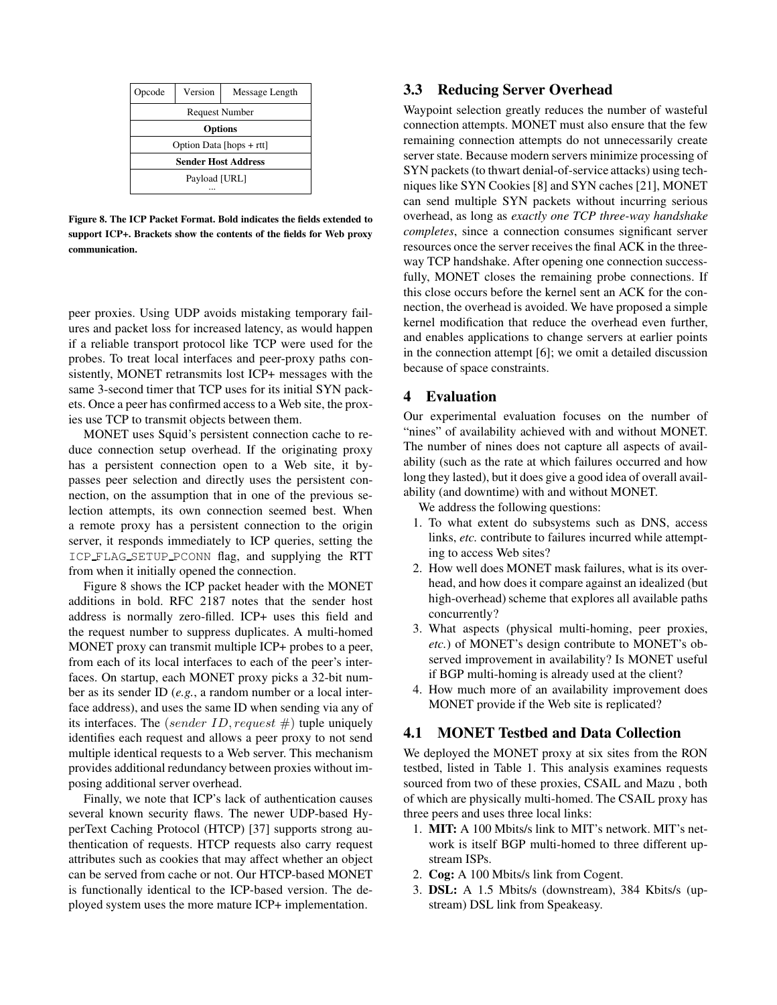| Opcode                     | Version | Message Length |  |  |  |  |
|----------------------------|---------|----------------|--|--|--|--|
| <b>Request Number</b>      |         |                |  |  |  |  |
| <b>Options</b>             |         |                |  |  |  |  |
| Option Data [hops + rtt]   |         |                |  |  |  |  |
| <b>Sender Host Address</b> |         |                |  |  |  |  |
| Payload [URL]              |         |                |  |  |  |  |
|                            |         |                |  |  |  |  |

**Figure 8. The ICP Packet Format. Bold indicates the fields extended to support ICP+. Brackets show the contents of the fields for Web proxy communication.**

peer proxies. Using UDP avoids mistaking temporary failures and packet loss for increased latency, as would happen if a reliable transport protocol like TCP were used for the probes. To treat local interfaces and peer-proxy paths consistently, MONET retransmits lost ICP+ messages with the same 3-second timer that TCP uses for its initial SYN packets. Once a peer has confirmed access to a Web site, the proxies use TCP to transmit objects between them.

MONET uses Squid's persistent connection cache to reduce connection setup overhead. If the originating proxy has a persistent connection open to a Web site, it bypasses peer selection and directly uses the persistent connection, on the assumption that in one of the previous selection attempts, its own connection seemed best. When a remote proxy has a persistent connection to the origin server, it responds immediately to ICP queries, setting the ICP FLAG SETUP PCONN flag, and supplying the RTT from when it initially opened the connection.

Figure 8 shows the ICP packet header with the MONET additions in bold. RFC 2187 notes that the sender host address is normally zero-filled. ICP+ uses this field and the request number to suppress duplicates. A multi-homed MONET proxy can transmit multiple ICP+ probes to a peer, from each of its local interfaces to each of the peer's interfaces. On startup, each MONET proxy picks a 32-bit number as its sender ID (*e.g.*, a random number or a local interface address), and uses the same ID when sending via any of its interfaces. The (sender ID, request  $#$ ) tuple uniquely identifies each request and allows a peer proxy to not send multiple identical requests to a Web server. This mechanism provides additional redundancy between proxies without imposing additional server overhead.

Finally, we note that ICP's lack of authentication causes several known security flaws. The newer UDP-based HyperText Caching Protocol (HTCP) [37] supports strong authentication of requests. HTCP requests also carry request attributes such as cookies that may affect whether an object can be served from cache or not. Our HTCP-based MONET is functionally identical to the ICP-based version. The deployed system uses the more mature ICP+ implementation.

# **3.3 Reducing Server Overhead**

Waypoint selection greatly reduces the number of wasteful connection attempts. MONET must also ensure that the few remaining connection attempts do not unnecessarily create server state. Because modern servers minimize processing of SYN packets (to thwart denial-of-service attacks) using techniques like SYN Cookies [8] and SYN caches [21], MONET can send multiple SYN packets without incurring serious overhead, as long as *exactly one TCP three-way handshake completes*, since a connection consumes significant server resources once the server receives the final ACK in the threeway TCP handshake. After opening one connection successfully, MONET closes the remaining probe connections. If this close occurs before the kernel sent an ACK for the connection, the overhead is avoided. We have proposed a simple kernel modification that reduce the overhead even further, and enables applications to change servers at earlier points in the connection attempt [6]; we omit a detailed discussion because of space constraints.

# **4 Evaluation**

Our experimental evaluation focuses on the number of "nines" of availability achieved with and without MONET. The number of nines does not capture all aspects of availability (such as the rate at which failures occurred and how long they lasted), but it does give a good idea of overall availability (and downtime) with and without MONET.

We address the following questions:

- 1. To what extent do subsystems such as DNS, access links, *etc.* contribute to failures incurred while attempting to access Web sites?
- 2. How well does MONET mask failures, what is its overhead, and how does it compare against an idealized (but high-overhead) scheme that explores all available paths concurrently?
- 3. What aspects (physical multi-homing, peer proxies, *etc.*) of MONET's design contribute to MONET's observed improvement in availability? Is MONET useful if BGP multi-homing is already used at the client?
- 4. How much more of an availability improvement does MONET provide if the Web site is replicated?

# **4.1 MONET Testbed and Data Collection**

We deployed the MONET proxy at six sites from the RON testbed, listed in Table 1. This analysis examines requests sourced from two of these proxies, CSAIL and Mazu , both of which are physically multi-homed. The CSAIL proxy has three peers and uses three local links:

- 1. **MIT:** A 100 Mbits/s link to MIT's network. MIT's network is itself BGP multi-homed to three different upstream ISPs.
- 2. **Cog:** A 100 Mbits/s link from Cogent.
- 3. **DSL:** A 1.5 Mbits/s (downstream), 384 Kbits/s (upstream) DSL link from Speakeasy.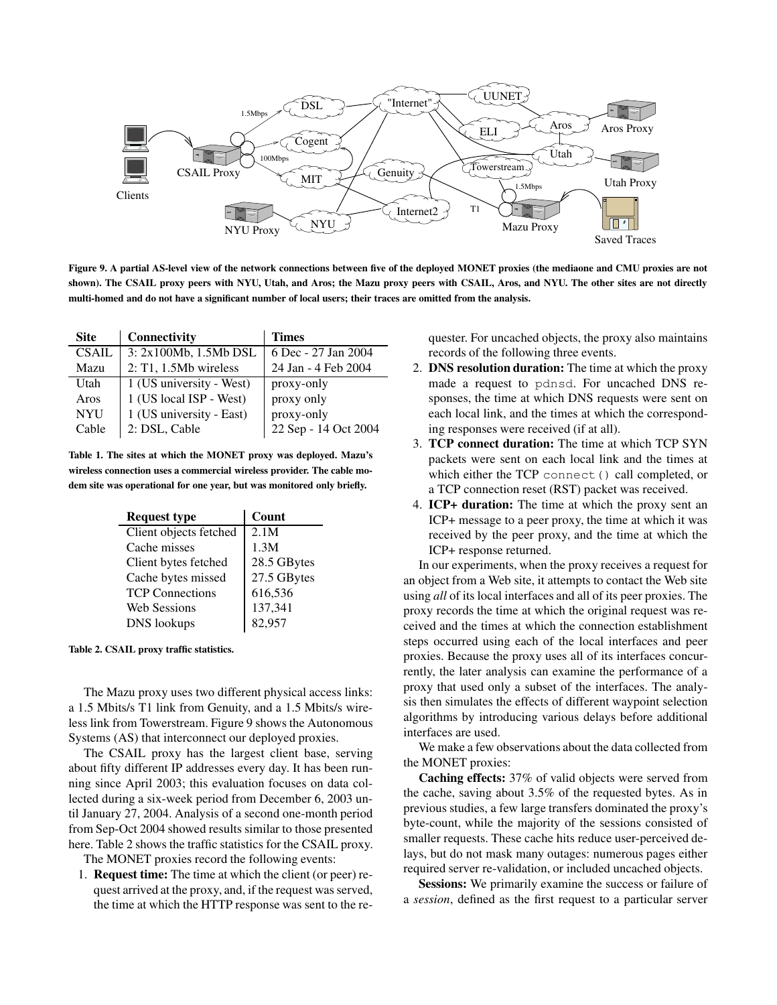

Figure 9. A partial AS-level view of the network connections between five of the deploved MONET proxies (the mediaone and CMU proxies are not shown). The CSAIL proxy peers with NYU, Utah, and Aros; the Mazu proxy peers with CSAIL, Aros, and NYU. The other sites are not directly multi-homed and do not have a significant number of local users; their traces are omitted from the analysis.

| <b>Site</b>  | Connectivity             | <b>Times</b>         |
|--------------|--------------------------|----------------------|
| <b>CSAIL</b> | $3:2x100Mb, 1.5Mb$ DSL   | 6 Dec - 27 Jan 2004  |
| Mazu         | 2: T1, 1.5Mb wireless    | 24 Jan - 4 Feb 2004  |
| Utah         | 1 (US university - West) | proxy-only           |
| Aros         | 1 (US local ISP - West)  | proxy only           |
| <b>NYU</b>   | 1 (US university - East) | proxy-only           |
| Cable        | 2: DSL, Cable            | 22 Sep - 14 Oct 2004 |

**Table 1. The sites at which the MONET proxy was deployed. Mazu's wireless connection uses a commercial wireless provider. The cable modem site was operational for one year, but was monitored only briefly.**

| <b>Request type</b>    | Count       |  |  |
|------------------------|-------------|--|--|
| Client objects fetched | 2.1M        |  |  |
| Cache misses           | 1.3M        |  |  |
| Client bytes fetched   | 28.5 GBytes |  |  |
| Cache bytes missed     | 27.5 GBytes |  |  |
| <b>TCP Connections</b> | 616,536     |  |  |
| <b>Web Sessions</b>    | 137,341     |  |  |
| <b>DNS</b> lookups     | 82.957      |  |  |
|                        |             |  |  |

**Table 2. CSAIL proxy traffic statistics.**

The Mazu proxy uses two different physical access links: a 1.5 Mbits/s T1 link from Genuity, and a 1.5 Mbits/s wireless link from Towerstream. Figure 9 shows the Autonomous Systems (AS) that interconnect our deployed proxies.

The CSAIL proxy has the largest client base, serving about fifty different IP addresses every day. It has been running since April 2003; this evaluation focuses on data collected during a six-week period from December 6, 2003 until January 27, 2004. Analysis of a second one-month period from Sep-Oct 2004 showed results similar to those presented here. Table 2 shows the traffic statistics for the CSAIL proxy.

The MONET proxies record the following events:

1. **Request time:** The time at which the client (or peer) request arrived at the proxy, and, if the request was served, the time at which the HTTP response was sent to the requester. For uncached objects, the proxy also maintains records of the following three events.

- 2. **DNS resolution duration:** The time at which the proxy made a request to pdnsd. For uncached DNS responses, the time at which DNS requests were sent on each local link, and the times at which the corresponding responses were received (if at all).
- 3. **TCP connect duration:** The time at which TCP SYN packets were sent on each local link and the times at which either the TCP connect() call completed, or a TCP connection reset (RST) packet was received.
- 4. **ICP+ duration:** The time at which the proxy sent an ICP+ message to a peer proxy, the time at which it was received by the peer proxy, and the time at which the ICP+ response returned.

In our experiments, when the proxy receives a request for an object from a Web site, it attempts to contact the Web site using *all* of its local interfaces and all of its peer proxies. The proxy records the time at which the original request was received and the times at which the connection establishment steps occurred using each of the local interfaces and peer proxies. Because the proxy uses all of its interfaces concurrently, the later analysis can examine the performance of a proxy that used only a subset of the interfaces. The analysis then simulates the effects of different waypoint selection algorithms by introducing various delays before additional interfaces are used.

We make a few observations about the data collected from the MONET proxies:

**Caching effects:** 37% of valid objects were served from the cache, saving about 3.5% of the requested bytes. As in previous studies, a few large transfers dominated the proxy's byte-count, while the majority of the sessions consisted of smaller requests. These cache hits reduce user-perceived delays, but do not mask many outages: numerous pages either required server re-validation, or included uncached objects.

**Sessions:** We primarily examine the success or failure of a *session*, defined as the first request to a particular server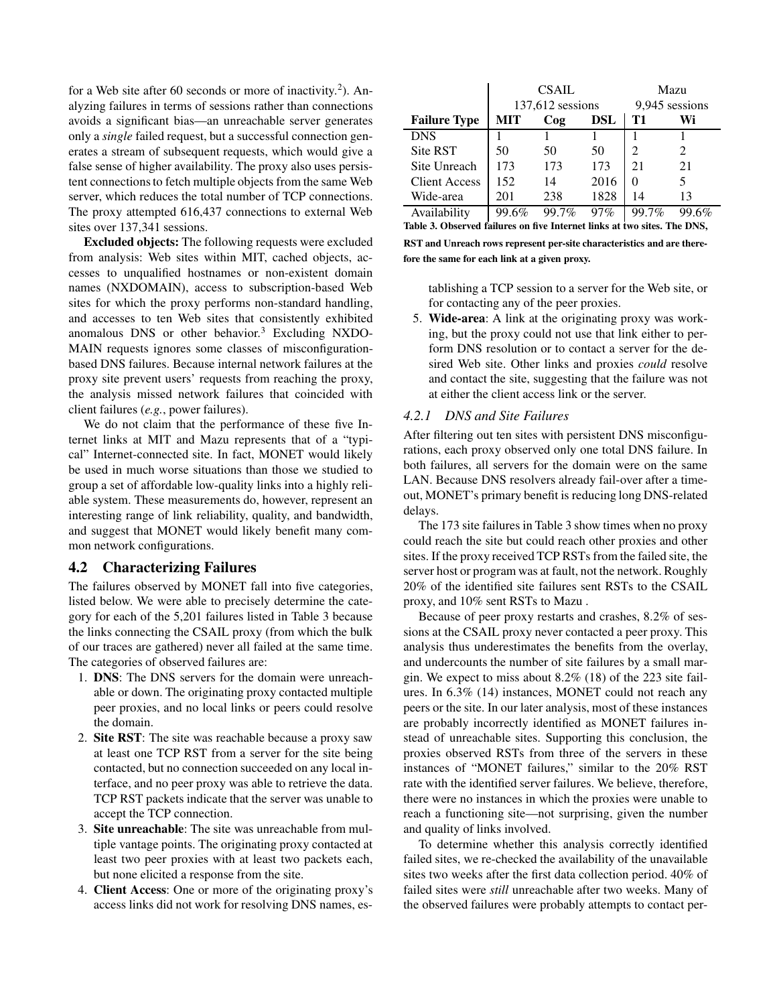for a Web site after 60 seconds or more of inactivity. 2 ). Analyzing failures in terms of sessions rather than connections avoids a significant bias—an unreachable server generates only a *single* failed request, but a successful connection generates a stream of subsequent requests, which would give a false sense of higher availability. The proxy also uses persistent connections to fetch multiple objects from the same Web server, which reduces the total number of TCP connections. The proxy attempted 616,437 connections to external Web sites over 137,341 sessions.

**Excluded objects:** The following requests were excluded from analysis: Web sites within MIT, cached objects, accesses to unqualified hostnames or non-existent domain names (NXDOMAIN), access to subscription-based Web sites for which the proxy performs non-standard handling, and accesses to ten Web sites that consistently exhibited anomalous DNS or other behavior. <sup>3</sup> Excluding NXDO-MAIN requests ignores some classes of misconfigurationbased DNS failures. Because internal network failures at the proxy site prevent users' requests from reaching the proxy, the analysis missed network failures that coincided with client failures (*e.g.*, power failures).

We do not claim that the performance of these five Internet links at MIT and Mazu represents that of a "typical" Internet-connected site. In fact, MONET would likely be used in much worse situations than those we studied to group a set of affordable low-quality links into a highly reliable system. These measurements do, however, represent an interesting range of link reliability, quality, and bandwidth, and suggest that MONET would likely benefit many common network configurations.

## **4.2 Characterizing Failures**

The failures observed by MONET fall into five categories, listed below. We were able to precisely determine the category for each of the 5,201 failures listed in Table 3 because the links connecting the CSAIL proxy (from which the bulk of our traces are gathered) never all failed at the same time. The categories of observed failures are:

- 1. **DNS**: The DNS servers for the domain were unreachable or down. The originating proxy contacted multiple peer proxies, and no local links or peers could resolve the domain.
- 2. **Site RST**: The site was reachable because a proxy saw at least one TCP RST from a server for the site being contacted, but no connection succeeded on any local interface, and no peer proxy was able to retrieve the data. TCP RST packets indicate that the server was unable to accept the TCP connection.
- 3. **Site unreachable**: The site was unreachable from multiple vantage points. The originating proxy contacted at least two peer proxies with at least two packets each, but none elicited a response from the site.
- 4. **Client Access**: One or more of the originating proxy's access links did not work for resolving DNS names, es-

|                      | <b>CSAIL</b>       |       |        | Mazu           |       |
|----------------------|--------------------|-------|--------|----------------|-------|
|                      | $137,612$ sessions |       |        | 9,945 sessions |       |
| <b>Failure Type</b>  | MIT                | Coq   | DSL    | T1             | Wi    |
| <b>DNS</b>           |                    |       |        |                |       |
| Site RST             | 50                 | 50    | 50     | $\mathfrak{D}$ | 2     |
| Site Unreach         | 173                | 173   | 173    | 21             | 21    |
| <b>Client Access</b> | 152                | 14    | 2016   | 0              | 5     |
| Wide-area            | 201                | 238   | 1828   | 14             | 13    |
| Availahility         | 00.6%              | 90.7% | $07\%$ | $007\%$        | 99.6% |

Availability 99.6% 99.7% 97% 99.7% 99.6% **Table 3. Observed failures on five Internet links at two sites. The DNS,**

**RST and Unreach rows represent per-site characteristics and are therefore the same for each link at a given proxy.**

tablishing a TCP session to a server for the Web site, or for contacting any of the peer proxies.

5. **Wide-area**: A link at the originating proxy was working, but the proxy could not use that link either to perform DNS resolution or to contact a server for the desired Web site. Other links and proxies *could* resolve and contact the site, suggesting that the failure was not at either the client access link or the server.

### *4.2.1 DNS and Site Failures*

After filtering out ten sites with persistent DNS misconfigurations, each proxy observed only one total DNS failure. In both failures, all servers for the domain were on the same LAN. Because DNS resolvers already fail-over after a timeout, MONET's primary benefit is reducing long DNS-related delays.

The 173 site failures in Table 3 show times when no proxy could reach the site but could reach other proxies and other sites. If the proxy received TCP RSTs from the failed site, the server host or program was at fault, not the network. Roughly 20% of the identified site failures sent RSTs to the CSAIL proxy, and 10% sent RSTs to Mazu .

Because of peer proxy restarts and crashes, 8.2% of sessions at the CSAIL proxy never contacted a peer proxy. This analysis thus underestimates the benefits from the overlay, and undercounts the number of site failures by a small margin. We expect to miss about 8.2% (18) of the 223 site failures. In 6.3% (14) instances, MONET could not reach any peers or the site. In our later analysis, most of these instances are probably incorrectly identified as MONET failures instead of unreachable sites. Supporting this conclusion, the proxies observed RSTs from three of the servers in these instances of "MONET failures," similar to the 20% RST rate with the identified server failures. We believe, therefore, there were no instances in which the proxies were unable to reach a functioning site—not surprising, given the number and quality of links involved.

To determine whether this analysis correctly identified failed sites, we re-checked the availability of the unavailable sites two weeks after the first data collection period. 40% of failed sites were *still* unreachable after two weeks. Many of the observed failures were probably attempts to contact per-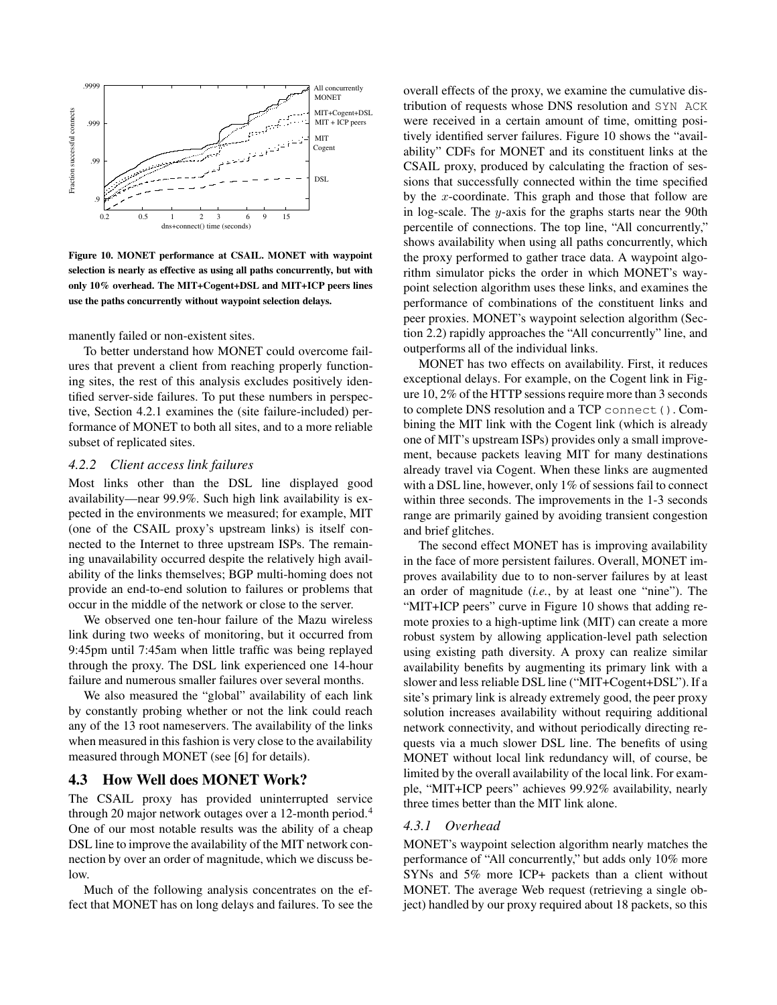

**Figure 10. MONET performance at CSAIL. MONET with waypoint selection is nearly as effective as using all paths concurrently, but with only 10% overhead. The MIT+Cogent+DSL and MIT+ICP peers lines use the paths concurrently without waypoint selection delays.**

manently failed or non-existent sites.

To better understand how MONET could overcome failures that prevent a client from reaching properly functioning sites, the rest of this analysis excludes positively identified server-side failures. To put these numbers in perspective, Section 4.2.1 examines the (site failure-included) performance of MONET to both all sites, and to a more reliable subset of replicated sites.

#### *4.2.2 Client access link failures*

Most links other than the DSL line displayed good availability—near 99.9%. Such high link availability is expected in the environments we measured; for example, MIT (one of the CSAIL proxy's upstream links) is itself connected to the Internet to three upstream ISPs. The remaining unavailability occurred despite the relatively high availability of the links themselves; BGP multi-homing does not provide an end-to-end solution to failures or problems that occur in the middle of the network or close to the server.

We observed one ten-hour failure of the Mazu wireless link during two weeks of monitoring, but it occurred from 9:45pm until 7:45am when little traffic was being replayed through the proxy. The DSL link experienced one 14-hour failure and numerous smaller failures over several months.

We also measured the "global" availability of each link by constantly probing whether or not the link could reach any of the 13 root nameservers. The availability of the links when measured in this fashion is very close to the availability measured through MONET (see [6] for details).

## **4.3 How Well does MONET Work?**

The CSAIL proxy has provided uninterrupted service through 20 major network outages over a 12-month period.<sup>4</sup> One of our most notable results was the ability of a cheap DSL line to improve the availability of the MIT network connection by over an order of magnitude, which we discuss below.

Much of the following analysis concentrates on the effect that MONET has on long delays and failures. To see the overall effects of the proxy, we examine the cumulative distribution of requests whose DNS resolution and SYN ACK were received in a certain amount of time, omitting positively identified server failures. Figure 10 shows the "availability" CDFs for MONET and its constituent links at the CSAIL proxy, produced by calculating the fraction of sessions that successfully connected within the time specified by the x-coordinate. This graph and those that follow are in log-scale. The  $y$ -axis for the graphs starts near the 90th percentile of connections. The top line, "All concurrently," shows availability when using all paths concurrently, which the proxy performed to gather trace data. A waypoint algorithm simulator picks the order in which MONET's waypoint selection algorithm uses these links, and examines the performance of combinations of the constituent links and peer proxies. MONET's waypoint selection algorithm (Section 2.2) rapidly approaches the "All concurrently" line, and outperforms all of the individual links.

MONET has two effects on availability. First, it reduces exceptional delays. For example, on the Cogent link in Figure 10, 2% of the HTTP sessions require more than 3 seconds to complete DNS resolution and a TCP connect(). Combining the MIT link with the Cogent link (which is already one of MIT's upstream ISPs) provides only a small improvement, because packets leaving MIT for many destinations already travel via Cogent. When these links are augmented with a DSL line, however, only 1% of sessions fail to connect within three seconds. The improvements in the 1-3 seconds range are primarily gained by avoiding transient congestion and brief glitches.

The second effect MONET has is improving availability in the face of more persistent failures. Overall, MONET improves availability due to to non-server failures by at least an order of magnitude (*i.e.*, by at least one "nine"). The "MIT+ICP peers" curve in Figure 10 shows that adding remote proxies to a high-uptime link (MIT) can create a more robust system by allowing application-level path selection using existing path diversity. A proxy can realize similar availability benefits by augmenting its primary link with a slower and less reliable DSL line ("MIT+Cogent+DSL"). If a site's primary link is already extremely good, the peer proxy solution increases availability without requiring additional network connectivity, and without periodically directing requests via a much slower DSL line. The benefits of using MONET without local link redundancy will, of course, be limited by the overall availability of the local link. For example, "MIT+ICP peers" achieves 99.92% availability, nearly three times better than the MIT link alone.

#### *4.3.1 Overhead*

MONET's waypoint selection algorithm nearly matches the performance of "All concurrently," but adds only 10% more SYNs and 5% more ICP+ packets than a client without MONET. The average Web request (retrieving a single object) handled by our proxy required about 18 packets, so this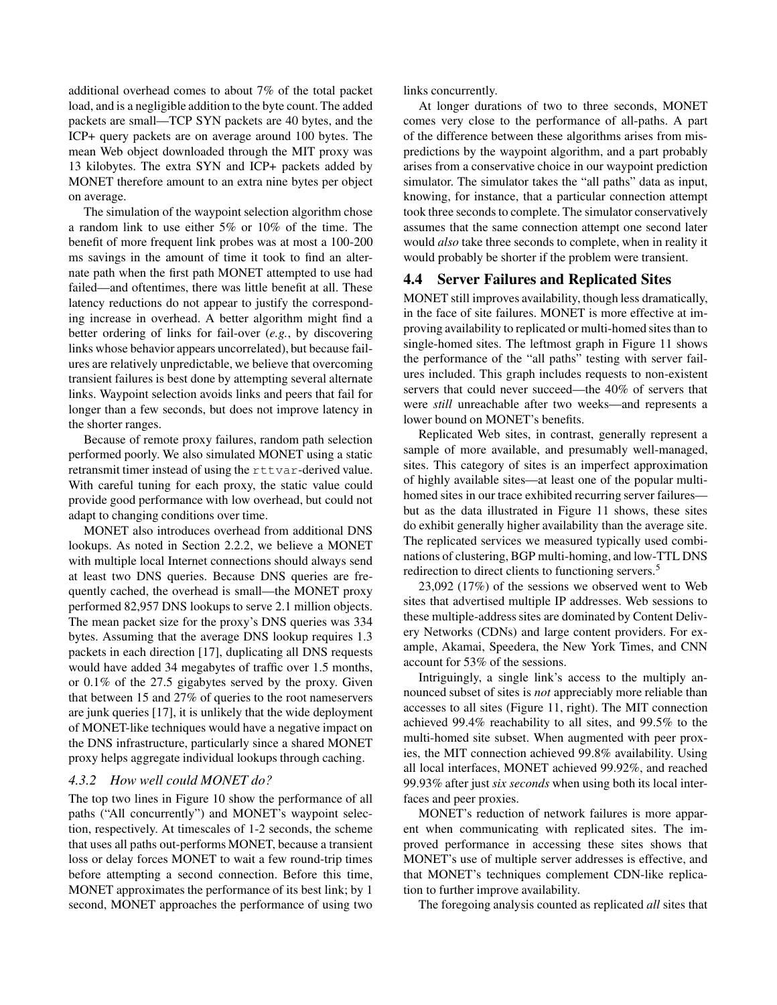additional overhead comes to about 7% of the total packet load, and is a negligible addition to the byte count. The added packets are small—TCP SYN packets are 40 bytes, and the ICP+ query packets are on average around 100 bytes. The mean Web object downloaded through the MIT proxy was 13 kilobytes. The extra SYN and ICP+ packets added by MONET therefore amount to an extra nine bytes per object on average.

The simulation of the waypoint selection algorithm chose a random link to use either 5% or 10% of the time. The benefit of more frequent link probes was at most a 100-200 ms savings in the amount of time it took to find an alternate path when the first path MONET attempted to use had failed—and oftentimes, there was little benefit at all. These latency reductions do not appear to justify the corresponding increase in overhead. A better algorithm might find a better ordering of links for fail-over (*e.g.*, by discovering links whose behavior appears uncorrelated), but because failures are relatively unpredictable, we believe that overcoming transient failures is best done by attempting several alternate links. Waypoint selection avoids links and peers that fail for longer than a few seconds, but does not improve latency in the shorter ranges.

Because of remote proxy failures, random path selection performed poorly. We also simulated MONET using a static retransmit timer instead of using the rttvar-derived value. With careful tuning for each proxy, the static value could provide good performance with low overhead, but could not adapt to changing conditions over time.

MONET also introduces overhead from additional DNS lookups. As noted in Section 2.2.2, we believe a MONET with multiple local Internet connections should always send at least two DNS queries. Because DNS queries are frequently cached, the overhead is small—the MONET proxy performed 82,957 DNS lookups to serve 2.1 million objects. The mean packet size for the proxy's DNS queries was 334 bytes. Assuming that the average DNS lookup requires 1.3 packets in each direction [17], duplicating all DNS requests would have added 34 megabytes of traffic over 1.5 months, or 0.1% of the 27.5 gigabytes served by the proxy. Given that between 15 and 27% of queries to the root nameservers are junk queries [17], it is unlikely that the wide deployment of MONET-like techniques would have a negative impact on the DNS infrastructure, particularly since a shared MONET proxy helps aggregate individual lookups through caching.

## *4.3.2 How well could MONET do?*

The top two lines in Figure 10 show the performance of all paths ("All concurrently") and MONET's waypoint selection, respectively. At timescales of 1-2 seconds, the scheme that uses all paths out-performs MONET, because a transient loss or delay forces MONET to wait a few round-trip times before attempting a second connection. Before this time, MONET approximates the performance of its best link; by 1 second, MONET approaches the performance of using two links concurrently.

At longer durations of two to three seconds, MONET comes very close to the performance of all-paths. A part of the difference between these algorithms arises from mispredictions by the waypoint algorithm, and a part probably arises from a conservative choice in our waypoint prediction simulator. The simulator takes the "all paths" data as input, knowing, for instance, that a particular connection attempt took three seconds to complete. The simulator conservatively assumes that the same connection attempt one second later would *also* take three seconds to complete, when in reality it would probably be shorter if the problem were transient.

# **4.4 Server Failures and Replicated Sites**

MONET still improves availability, though less dramatically, in the face of site failures. MONET is more effective at improving availability to replicated or multi-homed sites than to single-homed sites. The leftmost graph in Figure 11 shows the performance of the "all paths" testing with server failures included. This graph includes requests to non-existent servers that could never succeed—the 40% of servers that were *still* unreachable after two weeks—and represents a lower bound on MONET's benefits.

Replicated Web sites, in contrast, generally represent a sample of more available, and presumably well-managed, sites. This category of sites is an imperfect approximation of highly available sites—at least one of the popular multihomed sites in our trace exhibited recurring server failures but as the data illustrated in Figure 11 shows, these sites do exhibit generally higher availability than the average site. The replicated services we measured typically used combinations of clustering, BGP multi-homing, and low-TTL DNS redirection to direct clients to functioning servers.<sup>5</sup>

23,092 (17%) of the sessions we observed went to Web sites that advertised multiple IP addresses. Web sessions to these multiple-address sites are dominated by Content Delivery Networks (CDNs) and large content providers. For example, Akamai, Speedera, the New York Times, and CNN account for 53% of the sessions.

Intriguingly, a single link's access to the multiply announced subset of sites is *not* appreciably more reliable than accesses to all sites (Figure 11, right). The MIT connection achieved 99.4% reachability to all sites, and 99.5% to the multi-homed site subset. When augmented with peer proxies, the MIT connection achieved 99.8% availability. Using all local interfaces, MONET achieved 99.92%, and reached 99.93% after just *six seconds* when using both its local interfaces and peer proxies.

MONET's reduction of network failures is more apparent when communicating with replicated sites. The improved performance in accessing these sites shows that MONET's use of multiple server addresses is effective, and that MONET's techniques complement CDN-like replication to further improve availability.

The foregoing analysis counted as replicated *all* sites that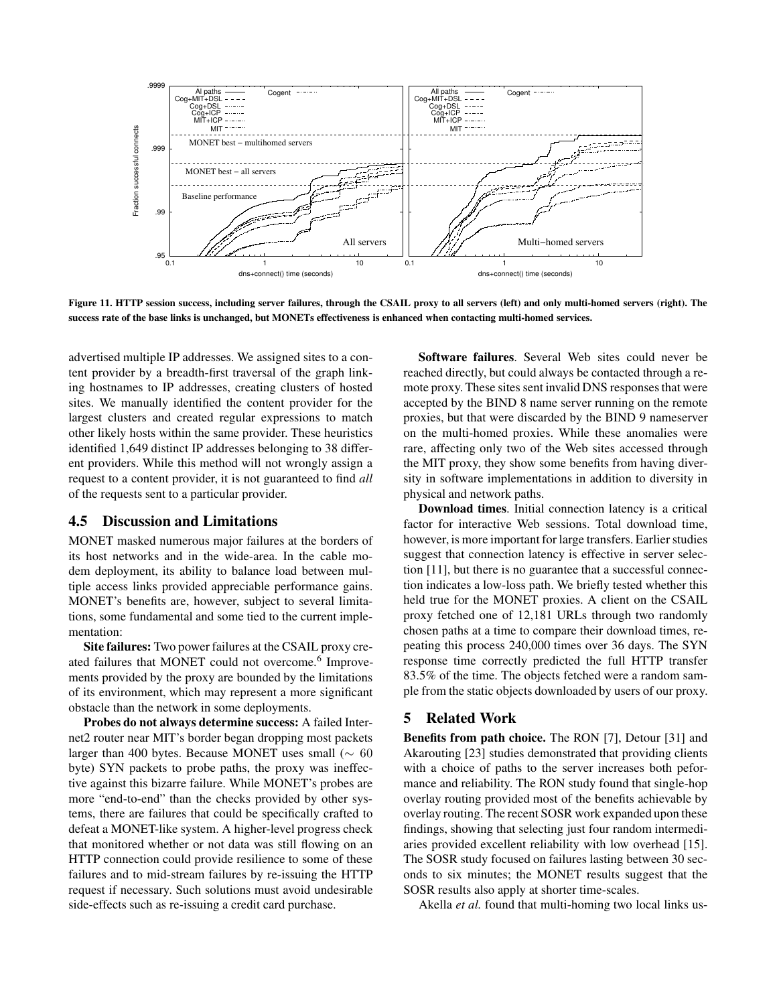

Figure 11. HTTP session success, including server failures, through the CSAIL proxy to all servers (left) and only multi-homed servers (right). The success rate of the base links is unchanged, but MONETs effectiveness is enhanced when contacting multi-homed services.

advertised multiple IP addresses. We assigned sites to a content provider by a breadth-first traversal of the graph linking hostnames to IP addresses, creating clusters of hosted sites. We manually identified the content provider for the largest clusters and created regular expressions to match other likely hosts within the same provider. These heuristics identified 1,649 distinct IP addresses belonging to 38 different providers. While this method will not wrongly assign a request to a content provider, it is not guaranteed to find *all* of the requests sent to a particular provider.

## **4.5 Discussion and Limitations**

MONET masked numerous major failures at the borders of its host networks and in the wide-area. In the cable modem deployment, its ability to balance load between multiple access links provided appreciable performance gains. MONET's benefits are, however, subject to several limitations, some fundamental and some tied to the current implementation:

**Site failures:** Two power failures at the CSAIL proxy created failures that MONET could not overcome.<sup>6</sup> Improvements provided by the proxy are bounded by the limitations of its environment, which may represent a more significant obstacle than the network in some deployments.

**Probes do not always determine success:** A failed Internet2 router near MIT's border began dropping most packets larger than 400 bytes. Because MONET uses small ( $\sim 60$ byte) SYN packets to probe paths, the proxy was ineffective against this bizarre failure. While MONET's probes are more "end-to-end" than the checks provided by other systems, there are failures that could be specifically crafted to defeat a MONET-like system. A higher-level progress check that monitored whether or not data was still flowing on an HTTP connection could provide resilience to some of these failures and to mid-stream failures by re-issuing the HTTP request if necessary. Such solutions must avoid undesirable side-effects such as re-issuing a credit card purchase.

**Software failures**. Several Web sites could never be reached directly, but could always be contacted through a remote proxy. These sites sent invalid DNS responses that were accepted by the BIND 8 name server running on the remote proxies, but that were discarded by the BIND 9 nameserver on the multi-homed proxies. While these anomalies were rare, affecting only two of the Web sites accessed through the MIT proxy, they show some benefits from having diversity in software implementations in addition to diversity in physical and network paths.

**Download times**. Initial connection latency is a critical factor for interactive Web sessions. Total download time, however, is more important for large transfers. Earlier studies suggest that connection latency is effective in server selection [11], but there is no guarantee that a successful connection indicates a low-loss path. We briefly tested whether this held true for the MONET proxies. A client on the CSAIL proxy fetched one of 12,181 URLs through two randomly chosen paths at a time to compare their download times, repeating this process 240,000 times over 36 days. The SYN response time correctly predicted the full HTTP transfer 83.5% of the time. The objects fetched were a random sample from the static objects downloaded by users of our proxy.

## **5 Related Work**

**Benefits from path choice.** The RON [7], Detour [31] and Akarouting [23] studies demonstrated that providing clients with a choice of paths to the server increases both peformance and reliability. The RON study found that single-hop overlay routing provided most of the benefits achievable by overlay routing. The recent SOSR work expanded upon these findings, showing that selecting just four random intermediaries provided excellent reliability with low overhead [15]. The SOSR study focused on failures lasting between 30 seconds to six minutes; the MONET results suggest that the SOSR results also apply at shorter time-scales.

Akella *et al.* found that multi-homing two local links us-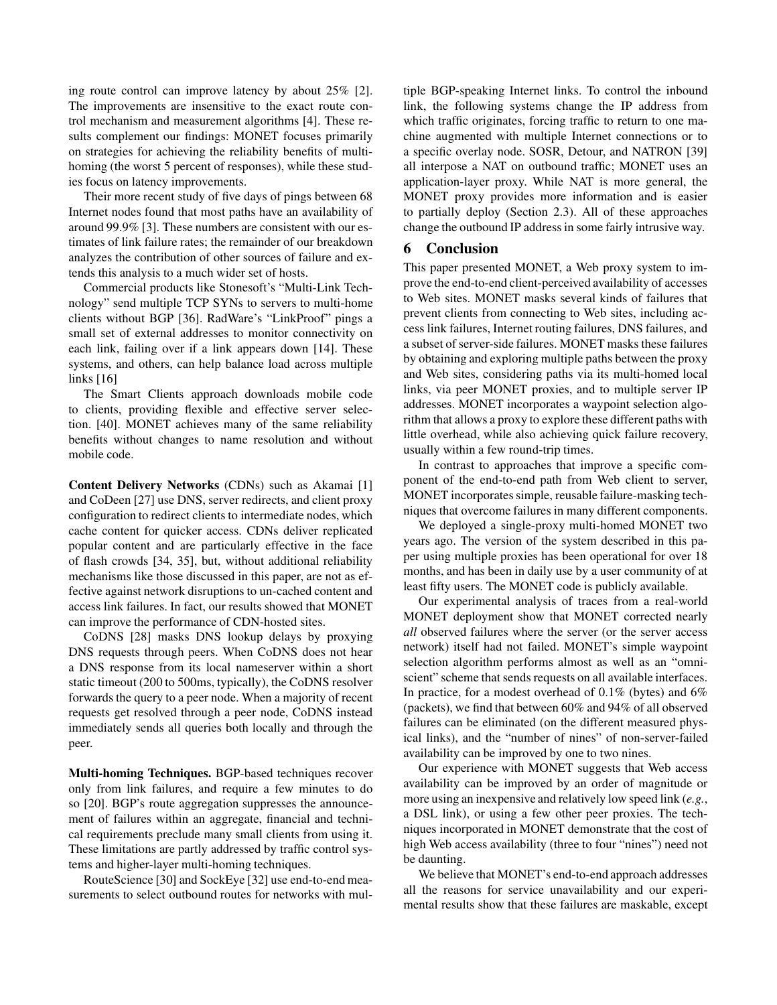ing route control can improve latency by about 25% [2]. The improvements are insensitive to the exact route control mechanism and measurement algorithms [4]. These results complement our findings: MONET focuses primarily on strategies for achieving the reliability benefits of multihoming (the worst 5 percent of responses), while these studies focus on latency improvements.

Their more recent study of five days of pings between 68 Internet nodes found that most paths have an availability of around 99.9% [3]. These numbers are consistent with our estimates of link failure rates; the remainder of our breakdown analyzes the contribution of other sources of failure and extends this analysis to a much wider set of hosts.

Commercial products like Stonesoft's "Multi-Link Technology" send multiple TCP SYNs to servers to multi-home clients without BGP [36]. RadWare's "LinkProof" pings a small set of external addresses to monitor connectivity on each link, failing over if a link appears down [14]. These systems, and others, can help balance load across multiple links [16]

The Smart Clients approach downloads mobile code to clients, providing flexible and effective server selection. [40]. MONET achieves many of the same reliability benefits without changes to name resolution and without mobile code.

**Content Delivery Networks** (CDNs) such as Akamai [1] and CoDeen [27] use DNS, server redirects, and client proxy configuration to redirect clients to intermediate nodes, which cache content for quicker access. CDNs deliver replicated popular content and are particularly effective in the face of flash crowds [34, 35], but, without additional reliability mechanisms like those discussed in this paper, are not as effective against network disruptions to un-cached content and access link failures. In fact, our results showed that MONET can improve the performance of CDN-hosted sites.

CoDNS [28] masks DNS lookup delays by proxying DNS requests through peers. When CoDNS does not hear a DNS response from its local nameserver within a short static timeout (200 to 500ms, typically), the CoDNS resolver forwards the query to a peer node. When a majority of recent requests get resolved through a peer node, CoDNS instead immediately sends all queries both locally and through the peer.

**Multi-homing Techniques.** BGP-based techniques recover only from link failures, and require a few minutes to do so [20]. BGP's route aggregation suppresses the announcement of failures within an aggregate, financial and technical requirements preclude many small clients from using it. These limitations are partly addressed by traffic control systems and higher-layer multi-homing techniques.

RouteScience [30] and SockEye [32] use end-to-end measurements to select outbound routes for networks with multiple BGP-speaking Internet links. To control the inbound link, the following systems change the IP address from which traffic originates, forcing traffic to return to one machine augmented with multiple Internet connections or to a specific overlay node. SOSR, Detour, and NATRON [39] all interpose a NAT on outbound traffic; MONET uses an application-layer proxy. While NAT is more general, the MONET proxy provides more information and is easier to partially deploy (Section 2.3). All of these approaches change the outbound IP address in some fairly intrusive way.

# **6 Conclusion**

This paper presented MONET, a Web proxy system to improve the end-to-end client-perceived availability of accesses to Web sites. MONET masks several kinds of failures that prevent clients from connecting to Web sites, including access link failures, Internet routing failures, DNS failures, and a subset of server-side failures. MONET masks these failures by obtaining and exploring multiple paths between the proxy and Web sites, considering paths via its multi-homed local links, via peer MONET proxies, and to multiple server IP addresses. MONET incorporates a waypoint selection algorithm that allows a proxy to explore these different paths with little overhead, while also achieving quick failure recovery, usually within a few round-trip times.

In contrast to approaches that improve a specific component of the end-to-end path from Web client to server, MONET incorporates simple, reusable failure-masking techniques that overcome failures in many different components.

We deployed a single-proxy multi-homed MONET two years ago. The version of the system described in this paper using multiple proxies has been operational for over 18 months, and has been in daily use by a user community of at least fifty users. The MONET code is publicly available.

Our experimental analysis of traces from a real-world MONET deployment show that MONET corrected nearly *all* observed failures where the server (or the server access network) itself had not failed. MONET's simple waypoint selection algorithm performs almost as well as an "omniscient" scheme that sends requests on all available interfaces. In practice, for a modest overhead of 0.1% (bytes) and 6% (packets), we find that between 60% and 94% of all observed failures can be eliminated (on the different measured physical links), and the "number of nines" of non-server-failed availability can be improved by one to two nines.

Our experience with MONET suggests that Web access availability can be improved by an order of magnitude or more using an inexpensive and relatively low speed link (*e.g.*, a DSL link), or using a few other peer proxies. The techniques incorporated in MONET demonstrate that the cost of high Web access availability (three to four "nines") need not be daunting.

We believe that MONET's end-to-end approach addresses all the reasons for service unavailability and our experimental results show that these failures are maskable, except